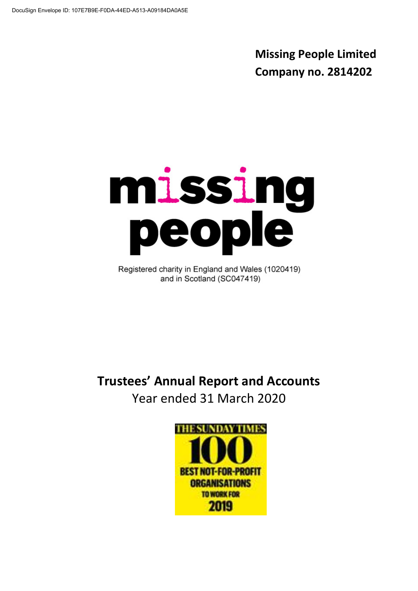**Missing People Limited Company no. 2814202**

# missing<br>people

Registered charity in England and Wales (1020419) and in Scotland (SC047419)

**Trustees' Annual Report and Accounts** Year ended 31 March 2020

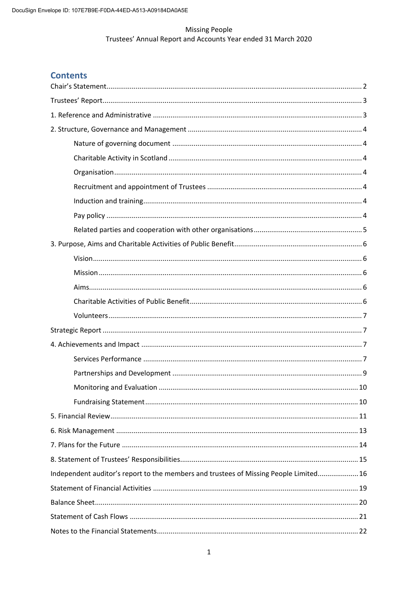# **Contents**

| Independent auditor's report to the members and trustees of Missing People Limited 16 |  |
|---------------------------------------------------------------------------------------|--|
|                                                                                       |  |
|                                                                                       |  |
|                                                                                       |  |
|                                                                                       |  |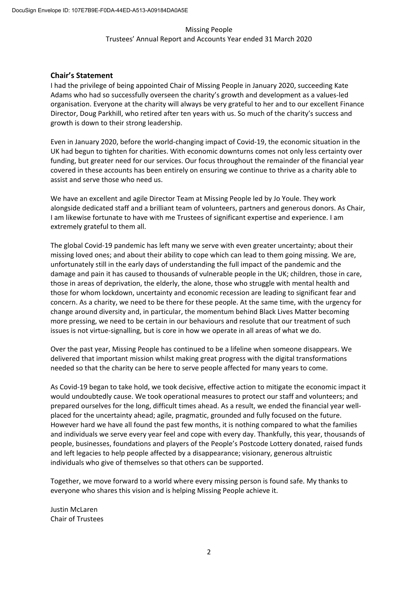#### **Chair's Statement**

I had the privilege of being appointed Chair of Missing People in January 2020, succeeding Kate Adams who had so successfully overseen the charity's growth and development as a values-led organisation. Everyone at the charity will always be very grateful to her and to our excellent Finance Director, Doug Parkhill, who retired after ten years with us. So much of the charity's success and growth is down to their strong leadership.

Even in January 2020, before the world-changing impact of Covid-19, the economic situation in the UK had begun to tighten for charities. With economic downturns comes not only less certainty over funding, but greater need for our services. Our focus throughout the remainder of the financial year covered in these accounts has been entirely on ensuring we continue to thrive as a charity able to assist and serve those who need us.

We have an excellent and agile Director Team at Missing People led by Jo Youle. They work alongside dedicated staff and a brilliant team of volunteers, partners and generous donors. As Chair, I am likewise fortunate to have with me Trustees of significant expertise and experience. I am extremely grateful to them all.

The global Covid-19 pandemic has left many we serve with even greater uncertainty; about their missing loved ones; and about their ability to cope which can lead to them going missing. We are, unfortunately still in the early days of understanding the full impact of the pandemic and the damage and pain it has caused to thousands of vulnerable people in the UK; children, those in care, those in areas of deprivation, the elderly, the alone, those who struggle with mental health and those for whom lockdown, uncertainty and economic recession are leading to significant fear and concern. As a charity, we need to be there for these people. At the same time, with the urgency for change around diversity and, in particular, the momentum behind Black Lives Matter becoming more pressing, we need to be certain in our behaviours and resolute that our treatment of such issues is not virtue-signalling, but is core in how we operate in all areas of what we do.

Over the past year, Missing People has continued to be a lifeline when someone disappears. We delivered that important mission whilst making great progress with the digital transformations needed so that the charity can be here to serve people affected for many years to come.

As Covid-19 began to take hold, we took decisive, effective action to mitigate the economic impact it would undoubtedly cause. We took operational measures to protect our staff and volunteers; and prepared ourselves for the long, difficult times ahead. As a result, we ended the financial year wellplaced for the uncertainty ahead; agile, pragmatic, grounded and fully focused on the future. However hard we have all found the past few months, it is nothing compared to what the families and individuals we serve every year feel and cope with every day. Thankfully, this year, thousands of people, businesses, foundations and players of the People's Postcode Lottery donated, raised funds and left legacies to help people affected by a disappearance; visionary, generous altruistic individuals who give of themselves so that others can be supported.

Together, we move forward to a world where every missing person is found safe. My thanks to everyone who shares this vision and is helping Missing People achieve it.

Justin McLaren Chair of Trustees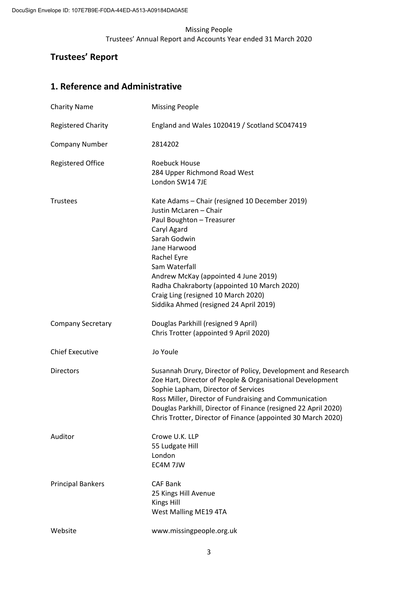# **Trustees' Report**

# **1. Reference and Administrative**

| <b>Charity Name</b>       | <b>Missing People</b>                                                                                                                                                                                                                                                                                                                                        |
|---------------------------|--------------------------------------------------------------------------------------------------------------------------------------------------------------------------------------------------------------------------------------------------------------------------------------------------------------------------------------------------------------|
| <b>Registered Charity</b> | England and Wales 1020419 / Scotland SC047419                                                                                                                                                                                                                                                                                                                |
| <b>Company Number</b>     | 2814202                                                                                                                                                                                                                                                                                                                                                      |
| <b>Registered Office</b>  | <b>Roebuck House</b><br>284 Upper Richmond Road West<br>London SW14 7JE                                                                                                                                                                                                                                                                                      |
| <b>Trustees</b>           | Kate Adams - Chair (resigned 10 December 2019)<br>Justin McLaren - Chair<br>Paul Boughton - Treasurer<br>Caryl Agard<br>Sarah Godwin<br>Jane Harwood<br>Rachel Eyre<br>Sam Waterfall<br>Andrew McKay (appointed 4 June 2019)<br>Radha Chakraborty (appointed 10 March 2020)<br>Craig Ling (resigned 10 March 2020)<br>Siddika Ahmed (resigned 24 April 2019) |
| <b>Company Secretary</b>  | Douglas Parkhill (resigned 9 April)<br>Chris Trotter (appointed 9 April 2020)                                                                                                                                                                                                                                                                                |
| <b>Chief Executive</b>    | Jo Youle                                                                                                                                                                                                                                                                                                                                                     |
| <b>Directors</b>          | Susannah Drury, Director of Policy, Development and Research<br>Zoe Hart, Director of People & Organisational Development<br>Sophie Lapham, Director of Services<br>Ross Miller, Director of Fundraising and Communication<br>Douglas Parkhill, Director of Finance (resigned 22 April 2020)<br>Chris Trotter, Director of Finance (appointed 30 March 2020) |
| Auditor                   | Crowe U.K. LLP<br>55 Ludgate Hill<br>London<br>EC4M 7JW                                                                                                                                                                                                                                                                                                      |
| <b>Principal Bankers</b>  | <b>CAF Bank</b><br>25 Kings Hill Avenue<br><b>Kings Hill</b><br>West Malling ME19 4TA                                                                                                                                                                                                                                                                        |
| Website                   | www.missingpeople.org.uk                                                                                                                                                                                                                                                                                                                                     |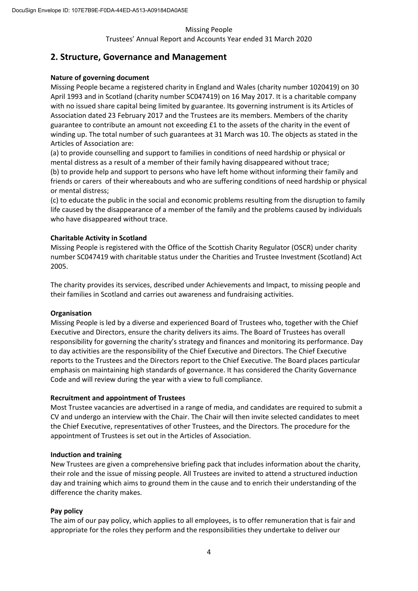# **2. Structure, Governance and Management**

#### **Nature of governing document**

Missing People became a registered charity in England and Wales (charity number 1020419) on 30 April 1993 and in Scotland (charity number SC047419) on 16 May 2017. It is a charitable company with no issued share capital being limited by guarantee. Its governing instrument is its Articles of Association dated 23 February 2017 and the Trustees are its members. Members of the charity guarantee to contribute an amount not exceeding £1 to the assets of the charity in the event of winding up. The total number of such guarantees at 31 March was 10. The objects as stated in the Articles of Association are:

(a) to provide counselling and support to families in conditions of need hardship or physical or mental distress as a result of a member of their family having disappeared without trace; (b) to provide help and support to persons who have left home without informing their family and friends or carers of their whereabouts and who are suffering conditions of need hardship or physical or mental distress;

(c) to educate the public in the social and economic problems resulting from the disruption to family life caused by the disappearance of a member of the family and the problems caused by individuals who have disappeared without trace.

#### **Charitable Activity in Scotland**

Missing People is registered with the Office of the Scottish Charity Regulator (OSCR) under charity number SC047419 with charitable status under the Charities and Trustee Investment (Scotland) Act 2005.

The charity provides its services, described under Achievements and Impact, to missing people and their families in Scotland and carries out awareness and fundraising activities.

#### **Organisation**

Missing People is led by a diverse and experienced Board of Trustees who, together with the Chief Executive and Directors, ensure the charity delivers its aims. The Board of Trustees has overall responsibility for governing the charity's strategy and finances and monitoring its performance. Day to day activities are the responsibility of the Chief Executive and Directors. The Chief Executive reports to the Trustees and the Directors report to the Chief Executive. The Board places particular emphasis on maintaining high standards of governance. It has considered the Charity Governance Code and will review during the year with a view to full compliance.

#### **Recruitment and appointment of Trustees**

Most Trustee vacancies are advertised in a range of media, and candidates are required to submit a CV and undergo an interview with the Chair. The Chair will then invite selected candidates to meet the Chief Executive, representatives of other Trustees, and the Directors. The procedure for the appointment of Trustees is set out in the Articles of Association.

#### **Induction and training**

New Trustees are given a comprehensive briefing pack that includes information about the charity, their role and the issue of missing people. All Trustees are invited to attend a structured induction day and training which aims to ground them in the cause and to enrich their understanding of the difference the charity makes.

#### **Pay policy**

The aim of our pay policy, which applies to all employees, is to offer remuneration that is fair and appropriate for the roles they perform and the responsibilities they undertake to deliver our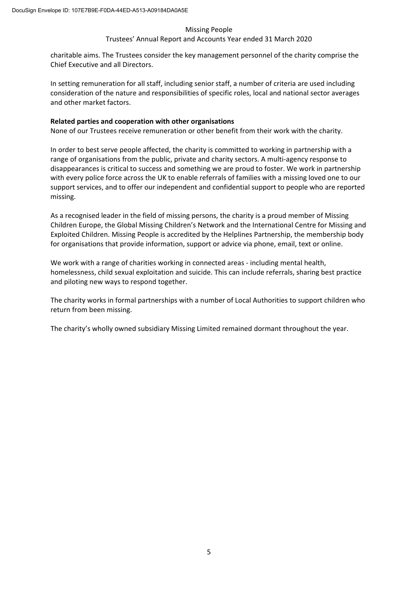#### Trustees' Annual Report and Accounts Year ended 31 March 2020

charitable aims. The Trustees consider the key management personnel of the charity comprise the Chief Executive and all Directors.

In setting remuneration for all staff, including senior staff, a number of criteria are used including consideration of the nature and responsibilities of specific roles, local and national sector averages and other market factors.

#### **Related parties and cooperation with other organisations**

None of our Trustees receive remuneration or other benefit from their work with the charity.

In order to best serve people affected, the charity is committed to working in partnership with a range of organisations from the public, private and charity sectors. A multi-agency response to disappearances is critical to success and something we are proud to foster. We work in partnership with every police force across the UK to enable referrals of families with a missing loved one to our support services, and to offer our independent and confidential support to people who are reported missing.

As a recognised leader in the field of missing persons, the charity is a proud member of Missing Children Europe, the Global Missing Children's Network and the International Centre for Missing and Exploited Children. Missing People is accredited by the Helplines Partnership, the membership body for organisations that provide information, support or advice via phone, email, text or online.

We work with a range of charities working in connected areas - including mental health, homelessness, child sexual exploitation and suicide. This can include referrals, sharing best practice and piloting new ways to respond together.

The charity works in formal partnerships with a number of Local Authorities to support children who return from been missing.

The charity's wholly owned subsidiary Missing Limited remained dormant throughout the year.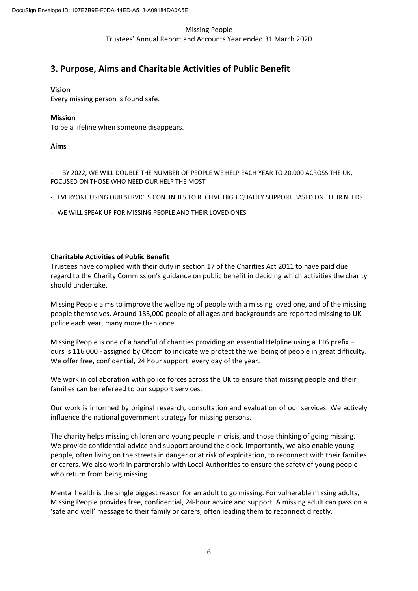# **3. Purpose, Aims and Charitable Activities of Public Benefit**

#### **Vision**

Every missing person is found safe.

#### **Mission**

To be a lifeline when someone disappears.

#### **Aims**

BY 2022, WE WILL DOUBLE THE NUMBER OF PEOPLE WE HELP EACH YEAR TO 20,000 ACROSS THE UK, FOCUSED ON THOSE WHO NEED OUR HELP THE MOST

- EVERYONE USING OUR SERVICES CONTINUES TO RECEIVE HIGH QUALITY SUPPORT BASED ON THEIR NEEDS
- WE WILL SPEAK UP FOR MISSING PEOPLE AND THEIR LOVED ONES

#### **Charitable Activities of Public Benefit**

Trustees have complied with their duty in section 17 of the Charities Act 2011 to have paid due regard to the Charity Commission's guidance on public benefit in deciding which activities the charity should undertake.

Missing People aims to improve the wellbeing of people with a missing loved one, and of the missing people themselves. Around 185,000 people of all ages and backgrounds are reported missing to UK police each year, many more than once.

Missing People is one of a handful of charities providing an essential Helpline using a 116 prefix – ours is 116 000 - assigned by Ofcom to indicate we protect the wellbeing of people in great difficulty. We offer free, confidential, 24 hour support, every day of the year.

We work in collaboration with police forces across the UK to ensure that missing people and their families can be refereed to our support services.

Our work is informed by original research, consultation and evaluation of our services. We actively influence the national government strategy for missing persons.

The charity helps missing children and young people in crisis, and those thinking of going missing. We provide confidential advice and support around the clock. Importantly, we also enable young people, often living on the streets in danger or at risk of exploitation, to reconnect with their families or carers. We also work in partnership with Local Authorities to ensure the safety of young people who return from being missing.

Mental health is the single biggest reason for an adult to go missing. For vulnerable missing adults, Missing People provides free, confidential, 24-hour advice and support. A missing adult can pass on a 'safe and well' message to their family or carers, often leading them to reconnect directly.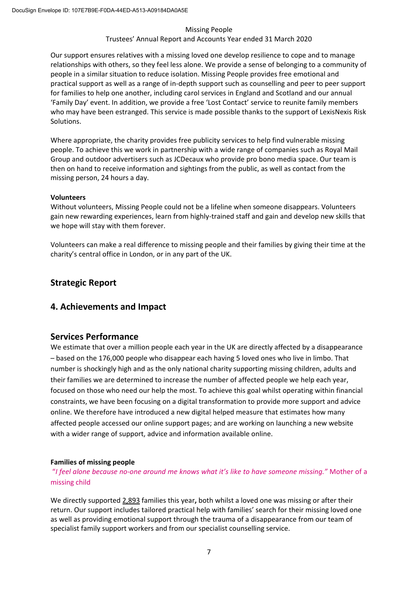#### Trustees' Annual Report and Accounts Year ended 31 March 2020

Our support ensures relatives with a missing loved one develop resilience to cope and to manage relationships with others, so they feel less alone. We provide a sense of belonging to a community of people in a similar situation to reduce isolation. Missing People provides free emotional and practical support as well as a range of in-depth support such as counselling and peer to peer support for families to help one another, including carol services in England and Scotland and our annual 'Family Day' event. In addition, we provide a free 'Lost Contact' service to reunite family members who may have been estranged. This service is made possible thanks to the support of LexisNexis Risk Solutions.

Where appropriate, the charity provides free publicity services to help find vulnerable missing people. To achieve this we work in partnership with a wide range of companies such as Royal Mail Group and outdoor advertisers such as JCDecaux who provide pro bono media space. Our team is then on hand to receive information and sightings from the public, as well as contact from the missing person, 24 hours a day.

#### **Volunteers**

Without volunteers, Missing People could not be a lifeline when someone disappears. Volunteers gain new rewarding experiences, learn from highly-trained staff and gain and develop new skills that we hope will stay with them forever.

Volunteers can make a real difference to missing people and their families by giving their time at the charity's central office in London, or in any part of the UK.

## **Strategic Report**

#### **4. Achievements and Impact**

#### **Services Performance**

We estimate that over a million people each year in the UK are directly affected by a disappearance – based on the 176,000 people who disappear each having 5 loved ones who live in limbo. That number is shockingly high and as the only national charity supporting missing children, adults and their families we are determined to increase the number of affected people we help each year, focused on those who need our help the most. To achieve this goal whilst operating within financial constraints, we have been focusing on a digital transformation to provide more support and advice online. We therefore have introduced a new digital helped measure that estimates how many affected people accessed our online support pages; and are working on launching a new website with a wider range of support, advice and information available online.

#### **Families of missing people**

 "*I feel alone because no-one around me knows what it's like to have someone missing."* Mother of a missing child

We directly supported 2,893 families this year**,** both whilst a loved one was missing or after their return. Our support includes tailored practical help with families' search for their missing loved one as well as providing emotional support through the trauma of a disappearance from our team of specialist family support workers and from our specialist counselling service.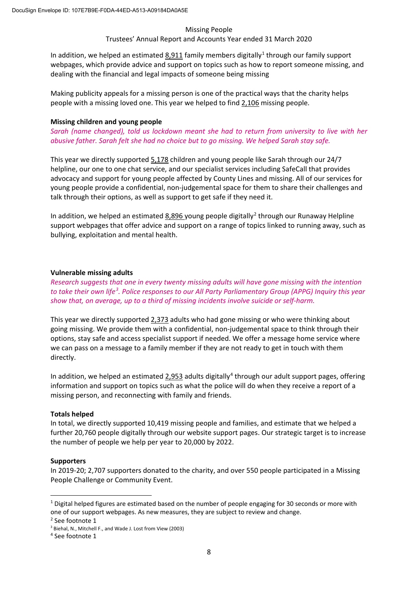#### Trustees' Annual Report and Accounts Year ended 31 March 2020

In addition, we helped an estimated 8,911 family members digitally<sup>1</sup> through our family support webpages, which provide advice and support on topics such as how to report someone missing, and dealing with the financial and legal impacts of someone being missing

Making publicity appeals for a missing person is one of the practical ways that the charity helps people with a missing loved one. This year we helped to find 2,106 missing people.

#### **Missing children and young people**

*Sarah (name changed), told us lockdown meant she had to return from university to live with her abusive father. Sarah felt she had no choice but to go missing. We helped Sarah stay safe.* 

This year we directly supported 5,178 children and young people like Sarah through our 24/7 helpline, our one to one chat service, and our specialist services including SafeCall that provides advocacy and support for young people affected by County Lines and missing. All of our services for young people provide a confidential, non-judgemental space for them to share their challenges and talk through their options, as well as support to get safe if they need it.

In addition, we helped an estimated 8,896 young people digitally<sup>2</sup> through our Runaway Helpline support webpages that offer advice and support on a range of topics linked to running away, such as bullying, exploitation and mental health.

#### **Vulnerable missing adults**

*Research suggests that one in every twenty missing adults will have gone missing with the intention to take their own life3 . Police responses to our All Party Parliamentary Group (APPG) Inquiry this year show that, on average, up to a third of missing incidents involve suicide or self-harm.* 

This year we directly supported 2,373 adults who had gone missing or who were thinking about going missing. We provide them with a confidential, non-judgemental space to think through their options, stay safe and access specialist support if needed. We offer a message home service where we can pass on a message to a family member if they are not ready to get in touch with them directly.

In addition, we helped an estimated  $2,953$  adults digitally<sup>4</sup> through our adult support pages, offering information and support on topics such as what the police will do when they receive a report of a missing person, and reconnecting with family and friends.

#### **Totals helped**

In total, we directly supported 10,419 missing people and families, and estimate that we helped a further 20,760 people digitally through our website support pages. Our strategic target is to increase the number of people we help per year to 20,000 by 2022.

#### **Supporters**

In 2019-20; 2,707 supporters donated to the charity, and over 550 people participated in a Missing People Challenge or Community Event.

 $1$  Digital helped figures are estimated based on the number of people engaging for 30 seconds or more with one of our support webpages. As new measures, they are subject to review and change.

<sup>2</sup> See footnote 1

<sup>3</sup> Biehal, N., Mitchell F., and Wade J. Lost from View (2003)

<sup>4</sup> See footnote 1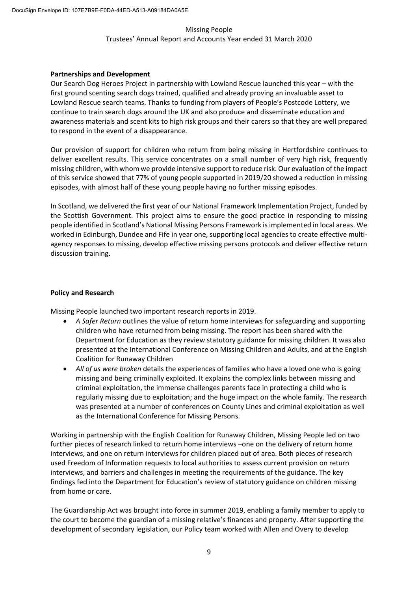#### **Partnerships and Development**

Our Search Dog Heroes Project in partnership with Lowland Rescue launched this year – with the first ground scenting search dogs trained, qualified and already proving an invaluable asset to Lowland Rescue search teams. Thanks to funding from players of People's Postcode Lottery, we continue to train search dogs around the UK and also produce and disseminate education and awareness materials and scent kits to high risk groups and their carers so that they are well prepared to respond in the event of a disappearance.

Our provision of support for children who return from being missing in Hertfordshire continues to deliver excellent results. This service concentrates on a small number of very high risk, frequently missing children, with whom we provide intensive support to reduce risk. Our evaluation of the impact of this service showed that 77% of young people supported in 2019/20 showed a reduction in missing episodes, with almost half of these young people having no further missing episodes.

In Scotland, we delivered the first year of our National Framework Implementation Project, funded by the Scottish Government. This project aims to ensure the good practice in responding to missing people identified in Scotland's National Missing Persons Framework is implemented in local areas. We worked in Edinburgh, Dundee and Fife in year one, supporting local agencies to create effective multiagency responses to missing, develop effective missing persons protocols and deliver effective return discussion training.

#### **Policy and Research**

Missing People launched two important research reports in 2019.

- *A Safer Return* outlines the value of return home interviews for safeguarding and supporting children who have returned from being missing. The report has been shared with the Department for Education as they review statutory guidance for missing children. It was also presented at the International Conference on Missing Children and Adults, and at the English Coalition for Runaway Children
- *All of us were broken* details the experiences of families who have a loved one who is going missing and being criminally exploited. It explains the complex links between missing and criminal exploitation, the immense challenges parents face in protecting a child who is regularly missing due to exploitation; and the huge impact on the whole family. The research was presented at a number of conferences on County Lines and criminal exploitation as well as the International Conference for Missing Persons.

Working in partnership with the English Coalition for Runaway Children, Missing People led on two further pieces of research linked to return home interviews –one on the delivery of return home interviews, and one on return interviews for children placed out of area. Both pieces of research used Freedom of Information requests to local authorities to assess current provision on return interviews, and barriers and challenges in meeting the requirements of the guidance. The key findings fed into the Department for Education's review of statutory guidance on children missing from home or care.

The Guardianship Act was brought into force in summer 2019, enabling a family member to apply to the court to become the guardian of a missing relative's finances and property. After supporting the development of secondary legislation, our Policy team worked with Allen and Overy to develop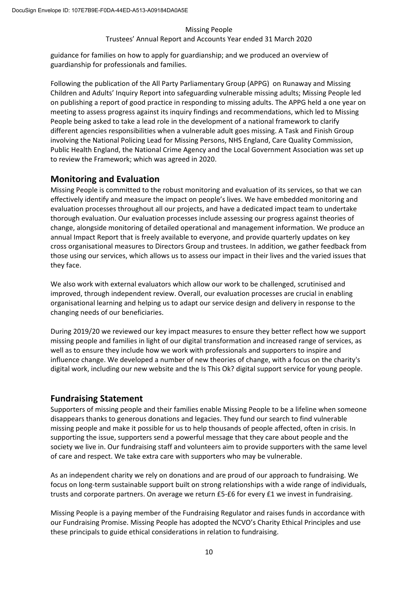#### Trustees' Annual Report and Accounts Year ended 31 March 2020

guidance for families on how to apply for guardianship; and we produced an overview of guardianship for professionals and families.

Following the publication of the All Party Parliamentary Group (APPG) on Runaway and Missing Children and Adults' Inquiry Report into safeguarding vulnerable missing adults; Missing People led on publishing a report of good practice in responding to missing adults. The APPG held a one year on meeting to assess progress against its inquiry findings and recommendations, which led to Missing People being asked to take a lead role in the development of a national framework to clarify different agencies responsibilities when a vulnerable adult goes missing. A Task and Finish Group involving the National Policing Lead for Missing Persons, NHS England, Care Quality Commission, Public Health England, the National Crime Agency and the Local Government Association was set up to review the Framework; which was agreed in 2020.

## **Monitoring and Evaluation**

Missing People is committed to the robust monitoring and evaluation of its services, so that we can effectively identify and measure the impact on people's lives. We have embedded monitoring and evaluation processes throughout all our projects, and have a dedicated impact team to undertake thorough evaluation. Our evaluation processes include assessing our progress against theories of change, alongside monitoring of detailed operational and management information. We produce an annual Impact Report that is freely available to everyone, and provide quarterly updates on key cross organisational measures to Directors Group and trustees. In addition, we gather feedback from those using our services, which allows us to assess our impact in their lives and the varied issues that they face.

We also work with external evaluators which allow our work to be challenged, scrutinised and improved, through independent review. Overall, our evaluation processes are crucial in enabling organisational learning and helping us to adapt our service design and delivery in response to the changing needs of our beneficiaries.

During 2019/20 we reviewed our key impact measures to ensure they better reflect how we support missing people and families in light of our digital transformation and increased range of services, as well as to ensure they include how we work with professionals and supporters to inspire and influence change. We developed a number of new theories of change, with a focus on the charity's digital work, including our new website and the Is This Ok? digital support service for young people.

# **Fundraising Statement**

Supporters of missing people and their families enable Missing People to be a lifeline when someone disappears thanks to generous donations and legacies. They fund our search to find vulnerable missing people and make it possible for us to help thousands of people affected, often in crisis. In supporting the issue, supporters send a powerful message that they care about people and the society we live in. Our fundraising staff and volunteers aim to provide supporters with the same level of care and respect. We take extra care with supporters who may be vulnerable.

As an independent charity we rely on donations and are proud of our approach to fundraising. We focus on long-term sustainable support built on strong relationships with a wide range of individuals, trusts and corporate partners. On average we return £5-£6 for every £1 we invest in fundraising.

Missing People is a paying member of the Fundraising Regulator and raises funds in accordance with our Fundraising Promise. Missing People has adopted the NCVO's Charity Ethical Principles and use these principals to guide ethical considerations in relation to fundraising.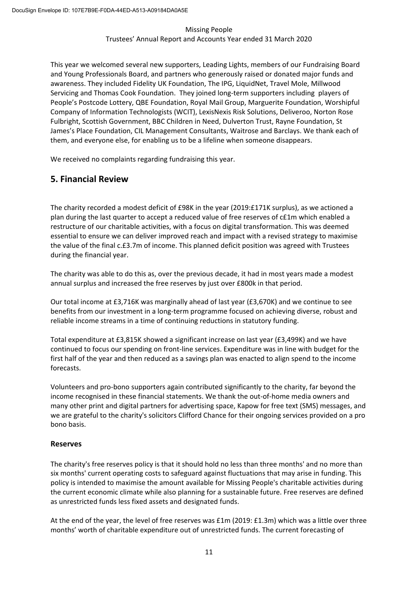This year we welcomed several new supporters, Leading Lights, members of our Fundraising Board and Young Professionals Board, and partners who generously raised or donated major funds and awareness. They included Fidelity UK Foundation, The IPG, LiquidNet, Travel Mole, Millwood Servicing and Thomas Cook Foundation. They joined long-term supporters including players of People's Postcode Lottery, QBE Foundation, Royal Mail Group, Marguerite Foundation, Worshipful Company of Information Technologists (WCIT), LexisNexis Risk Solutions, Deliveroo, Norton Rose Fulbright, Scottish Government, BBC Children in Need, Dulverton Trust, Rayne Foundation, St James's Place Foundation, CIL Management Consultants, Waitrose and Barclays. We thank each of them, and everyone else, for enabling us to be a lifeline when someone disappears.

We received no complaints regarding fundraising this year.

# **5. Financial Review**

The charity recorded a modest deficit of £98K in the year (2019:£171K surplus), as we actioned a plan during the last quarter to accept a reduced value of free reserves of c£1m which enabled a restructure of our charitable activities, with a focus on digital transformation. This was deemed essential to ensure we can deliver improved reach and impact with a revised strategy to maximise the value of the final c.£3.7m of income. This planned deficit position was agreed with Trustees during the financial year.

The charity was able to do this as, over the previous decade, it had in most years made a modest annual surplus and increased the free reserves by just over £800k in that period.

Our total income at £3,716K was marginally ahead of last year (£3,670K) and we continue to see benefits from our investment in a long-term programme focused on achieving diverse, robust and reliable income streams in a time of continuing reductions in statutory funding.

Total expenditure at £3,815K showed a significant increase on last year (£3,499K) and we have continued to focus our spending on front-line services. Expenditure was in line with budget for the first half of the year and then reduced as a savings plan was enacted to align spend to the income forecasts.

Volunteers and pro-bono supporters again contributed significantly to the charity, far beyond the income recognised in these financial statements. We thank the out-of-home media owners and many other print and digital partners for advertising space, Kapow for free text (SMS) messages, and we are grateful to the charity's solicitors Clifford Chance for their ongoing services provided on a pro bono basis.

#### **Reserves**

The charity's free reserves policy is that it should hold no less than three months' and no more than six months' current operating costs to safeguard against fluctuations that may arise in funding. This policy is intended to maximise the amount available for Missing People's charitable activities during the current economic climate while also planning for a sustainable future. Free reserves are defined as unrestricted funds less fixed assets and designated funds.

At the end of the year, the level of free reserves was £1m (2019: £1.3m) which was a little over three months' worth of charitable expenditure out of unrestricted funds. The current forecasting of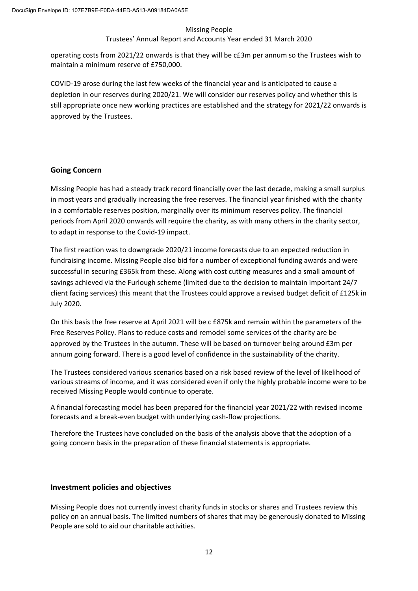#### Trustees' Annual Report and Accounts Year ended 31 March 2020

operating costs from 2021/22 onwards is that they will be c£3m per annum so the Trustees wish to maintain a minimum reserve of £750,000.

COVID-19 arose during the last few weeks of the financial year and is anticipated to cause a depletion in our reserves during 2020/21. We will consider our reserves policy and whether this is still appropriate once new working practices are established and the strategy for 2021/22 onwards is approved by the Trustees.

#### **Going Concern**

Missing People has had a steady track record financially over the last decade, making a small surplus in most years and gradually increasing the free reserves. The financial year finished with the charity in a comfortable reserves position, marginally over its minimum reserves policy. The financial periods from April 2020 onwards will require the charity, as with many others in the charity sector, to adapt in response to the Covid-19 impact.

The first reaction was to downgrade 2020/21 income forecasts due to an expected reduction in fundraising income. Missing People also bid for a number of exceptional funding awards and were successful in securing £365k from these. Along with cost cutting measures and a small amount of savings achieved via the Furlough scheme (limited due to the decision to maintain important 24/7 client facing services) this meant that the Trustees could approve a revised budget deficit of £125k in July 2020.

On this basis the free reserve at April 2021 will be c £875k and remain within the parameters of the Free Reserves Policy. Plans to reduce costs and remodel some services of the charity are be approved by the Trustees in the autumn. These will be based on turnover being around £3m per annum going forward. There is a good level of confidence in the sustainability of the charity.

The Trustees considered various scenarios based on a risk based review of the level of likelihood of various streams of income, and it was considered even if only the highly probable income were to be received Missing People would continue to operate.

A financial forecasting model has been prepared for the financial year 2021/22 with revised income forecasts and a break-even budget with underlying cash-flow projections.

Therefore the Trustees have concluded on the basis of the analysis above that the adoption of a going concern basis in the preparation of these financial statements is appropriate.

#### **Investment policies and objectives**

Missing People does not currently invest charity funds in stocks or shares and Trustees review this policy on an annual basis. The limited numbers of shares that may be generously donated to Missing People are sold to aid our charitable activities.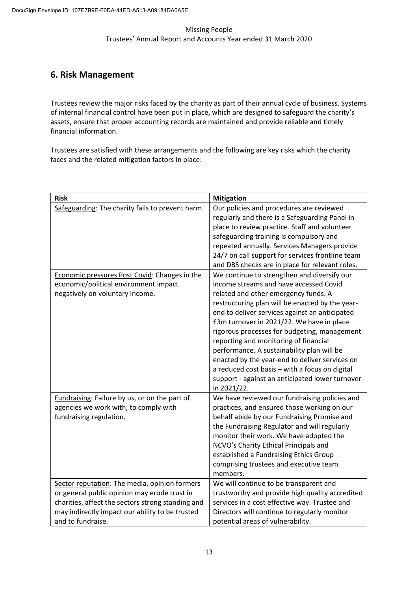# **6. Risk Management**

Trustees review the major risks faced by the charity as part of their annual cycle of business. Systems of internal financial control have been put in place, which are designed to safeguard the charity's assets, ensure that proper accounting records are maintained and provide reliable and timely financial information.

Trustees are satisfied with these arrangements and the following are key risks which the charity faces and the related mitigation factors in place:

| <b>Risk</b>                                                                                                                                                                                                                | <b>Mitigation</b>                                                                                                                                                                                                                                                                                                                                                                                                                                                                                                                                                                            |
|----------------------------------------------------------------------------------------------------------------------------------------------------------------------------------------------------------------------------|----------------------------------------------------------------------------------------------------------------------------------------------------------------------------------------------------------------------------------------------------------------------------------------------------------------------------------------------------------------------------------------------------------------------------------------------------------------------------------------------------------------------------------------------------------------------------------------------|
| Safeguarding: The charity fails to prevent harm.                                                                                                                                                                           | Our policies and procedures are reviewed<br>regularly and there is a Safeguarding Panel in<br>place to review practice. Staff and volunteer<br>safeguarding training is compulsory and<br>repeated annually. Services Managers provide<br>24/7 on call support for services frontline team<br>and DBS checks are in place for relevant roles.                                                                                                                                                                                                                                                |
| Economic pressures Post Covid: Changes in the<br>economic/political environment impact<br>negatively on voluntary income.                                                                                                  | We continue to strengthen and diversify our<br>income streams and have accessed Covid<br>related and other emergency funds. A<br>restructuring plan will be enacted by the year-<br>end to deliver services against an anticipated<br>£3m turnover in 2021/22. We have in place<br>rigorous processes for budgeting, management<br>reporting and monitoring of financial<br>performance. A sustainability plan will be<br>enacted by the year-end to deliver services on<br>a reduced cost basis - with a focus on digital<br>support - against an anticipated lower turnover<br>in 2021/22. |
| Fundraising: Failure by us, or on the part of<br>agencies we work with, to comply with<br>fundraising regulation.                                                                                                          | We have reviewed our fundraising policies and<br>practices, and ensured those working on our<br>behalf abide by our Fundraising Promise and<br>the Fundraising Regulator and will regularly<br>monitor their work. We have adopted the<br>NCVO's Charity Ethical Principals and<br>established a Fundraising Ethics Group<br>comprising trustees and executive team<br>members.                                                                                                                                                                                                              |
| Sector reputation: The media, opinion formers<br>or general public opinion may erode trust in<br>charities, affect the sectors strong standing and<br>may indirectly impact our ability to be trusted<br>and to fundraise. | We will continue to be transparent and<br>trustworthy and provide high quality accredited<br>services in a cost effective way. Trustee and<br>Directors will continue to regularly monitor<br>potential areas of vulnerability.                                                                                                                                                                                                                                                                                                                                                              |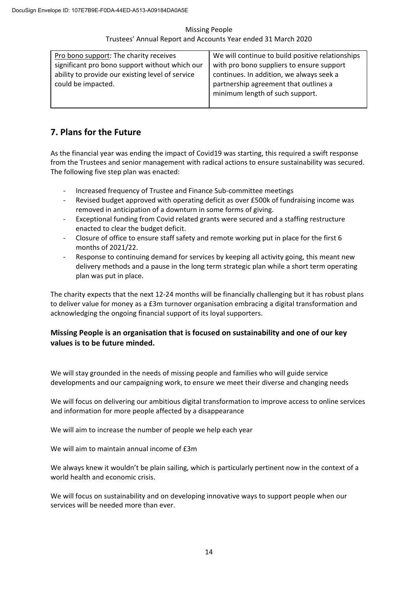| Pro bono support: The charity receives           | We will continue to build positive relationships |
|--------------------------------------------------|--------------------------------------------------|
| significant pro bono support without which our   | with pro bono suppliers to ensure support        |
| ability to provide our existing level of service | continues. In addition, we always seek a         |
| could be impacted.                               | partnership agreement that outlines a            |
|                                                  | minimum length of such support.                  |
|                                                  |                                                  |

# **7. Plans for the Future**

As the financial year was ending the impact of Covid19 was starting, this required a swift response from the Trustees and senior management with radical actions to ensure sustainability was secured. The following five step plan was enacted:

- Increased frequency of Trustee and Finance Sub-committee meetings
- Revised budget approved with operating deficit as over £500k of fundraising income was removed in anticipation of a downturn in some forms of giving.
- Exceptional funding from Covid related grants were secured and a staffing restructure enacted to clear the budget deficit.
- Closure of office to ensure staff safety and remote working put in place for the first 6 months of 2021/22.
- Response to continuing demand for services by keeping all activity going, this meant new delivery methods and a pause in the long term strategic plan while a short term operating plan was put in place.

The charity expects that the next 12-24 months will be financially challenging but it has robust plans to deliver value for money as a £3m turnover organisation embracing a digital transformation and acknowledging the ongoing financial support of its loyal supporters.

## **Missing People is an organisation that is focused on sustainability and one of our key values is to be future minded.**

We will stay grounded in the needs of missing people and families who will guide service developments and our campaigning work, to ensure we meet their diverse and changing needs

We will focus on delivering our ambitious digital transformation to improve access to online services and information for more people affected by a disappearance

We will aim to increase the number of people we help each year

We will aim to maintain annual income of £3m

We always knew it wouldn't be plain sailing, which is particularly pertinent now in the context of a world health and economic crisis.

We will focus on sustainability and on developing innovative ways to support people when our services will be needed more than ever.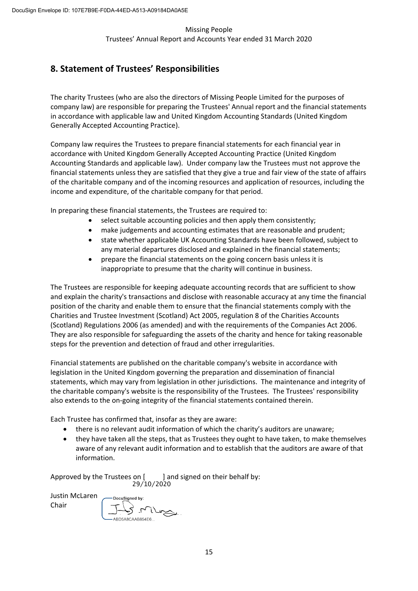# **8. Statement of Trustees' Responsibilities**

The charity Trustees (who are also the directors of Missing People Limited for the purposes of company law) are responsible for preparing the Trustees' Annual report and the financial statements in accordance with applicable law and United Kingdom Accounting Standards (United Kingdom Generally Accepted Accounting Practice).

Company law requires the Trustees to prepare financial statements for each financial year in accordance with United Kingdom Generally Accepted Accounting Practice (United Kingdom Accounting Standards and applicable law). Under company law the Trustees must not approve the financial statements unless they are satisfied that they give a true and fair view of the state of affairs of the charitable company and of the incoming resources and application of resources, including the income and expenditure, of the charitable company for that period.

In preparing these financial statements, the Trustees are required to:

- select suitable accounting policies and then apply them consistently;
- make judgements and accounting estimates that are reasonable and prudent;
- state whether applicable UK Accounting Standards have been followed, subject to any material departures disclosed and explained in the financial statements;
- prepare the financial statements on the going concern basis unless it is inappropriate to presume that the charity will continue in business.

The Trustees are responsible for keeping adequate accounting records that are sufficient to show and explain the charity's transactions and disclose with reasonable accuracy at any time the financial position of the charity and enable them to ensure that the financial statements comply with the Charities and Trustee Investment (Scotland) Act 2005, regulation 8 of the Charities Accounts (Scotland) Regulations 2006 (as amended) and with the requirements of the Companies Act 2006. They are also responsible for safeguarding the assets of the charity and hence for taking reasonable steps for the prevention and detection of fraud and other irregularities.

Financial statements are published on the charitable company's website in accordance with legislation in the United Kingdom governing the preparation and dissemination of financial statements, which may vary from legislation in other jurisdictions. The maintenance and integrity of the charitable company's website is the responsibility of the Trustees. The Trustees' responsibility also extends to the on-going integrity of the financial statements contained therein.

Each Trustee has confirmed that, insofar as they are aware:

- there is no relevant audit information of which the charity's auditors are unaware;
- they have taken all the steps, that as Trustees they ought to have taken, to make themselves aware of any relevant audit information and to establish that the auditors are aware of that information.

Approved by the Trustees on [ ] and signed on their behalf by: 29/10/2020

Justin McLaren Chair

DocuSigned by: ABD5A8CAAB854E6...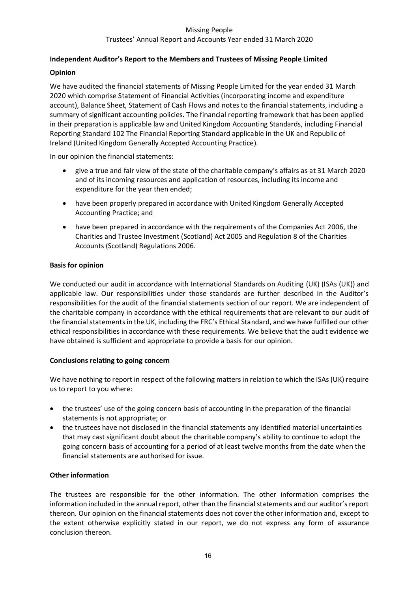#### **Independent Auditor's Report to the Members and Trustees of Missing People Limited**

#### **Opinion**

We have audited the financial statements of Missing People Limited for the year ended 31 March 2020 which comprise Statement of Financial Activities (incorporating income and expenditure account), Balance Sheet, Statement of Cash Flows and notes to the financial statements, including a summary of significant accounting policies. The financial reporting framework that has been applied in their preparation is applicable law and United Kingdom Accounting Standards, including Financial Reporting Standard 102 The Financial Reporting Standard applicable in the UK and Republic of Ireland (United Kingdom Generally Accepted Accounting Practice).

In our opinion the financial statements:

- give a true and fair view of the state of the charitable company's affairs as at 31 March 2020 and of its incoming resources and application of resources, including its income and expenditure for the year then ended;
- have been properly prepared in accordance with United Kingdom Generally Accepted Accounting Practice; and
- have been prepared in accordance with the requirements of the Companies Act 2006, the Charities and Trustee Investment (Scotland) Act 2005 and Regulation 8 of the Charities Accounts (Scotland) Regulations 2006.

#### **Basis for opinion**

We conducted our audit in accordance with International Standards on Auditing (UK) (ISAs (UK)) and applicable law. Our responsibilities under those standards are further described in the Auditor's responsibilities for the audit of the financial statements section of our report. We are independent of the charitable company in accordance with the ethical requirements that are relevant to our audit of the financial statements in the UK, including the FRC's Ethical Standard, and we have fulfilled our other ethical responsibilities in accordance with these requirements. We believe that the audit evidence we have obtained is sufficient and appropriate to provide a basis for our opinion.

#### **Conclusions relating to going concern**

We have nothing to report in respect of the following matters in relation to which the ISAs (UK) require us to report to you where:

- the trustees' use of the going concern basis of accounting in the preparation of the financial statements is not appropriate; or
- the trustees have not disclosed in the financial statements any identified material uncertainties that may cast significant doubt about the charitable company's ability to continue to adopt the going concern basis of accounting for a period of at least twelve months from the date when the financial statements are authorised for issue.

#### **Other information**

The trustees are responsible for the other information. The other information comprises the information included in the annual report, other than the financial statements and our auditor's report thereon. Our opinion on the financial statements does not cover the other information and, except to the extent otherwise explicitly stated in our report, we do not express any form of assurance conclusion thereon.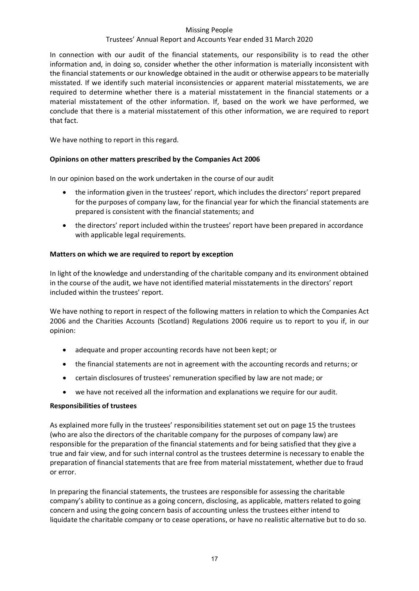#### Trustees' Annual Report and Accounts Year ended 31 March 2020

In connection with our audit of the financial statements, our responsibility is to read the other information and, in doing so, consider whether the other information is materially inconsistent with the financial statements or our knowledge obtained in the audit or otherwise appears to be materially misstated. If we identify such material inconsistencies or apparent material misstatements, we are required to determine whether there is a material misstatement in the financial statements or a material misstatement of the other information. If, based on the work we have performed, we conclude that there is a material misstatement of this other information, we are required to report that fact.

We have nothing to report in this regard.

#### **Opinions on other matters prescribed by the Companies Act 2006**

In our opinion based on the work undertaken in the course of our audit

- the information given in the trustees' report, which includes the directors' report prepared for the purposes of company law, for the financial year for which the financial statements are prepared is consistent with the financial statements; and
- the directors' report included within the trustees' report have been prepared in accordance with applicable legal requirements.

#### **Matters on which we are required to report by exception**

In light of the knowledge and understanding of the charitable company and its environment obtained in the course of the audit, we have not identified material misstatements in the directors' report included within the trustees' report.

We have nothing to report in respect of the following matters in relation to which the Companies Act 2006 and the Charities Accounts (Scotland) Regulations 2006 require us to report to you if, in our opinion:

- adequate and proper accounting records have not been kept; or
- the financial statements are not in agreement with the accounting records and returns; or
- certain disclosures of trustees' remuneration specified by law are not made; or
- we have not received all the information and explanations we require for our audit.

#### **Responsibilities of trustees**

As explained more fully in the trustees' responsibilities statement set out on page 15 the trustees (who are also the directors of the charitable company for the purposes of company law) are responsible for the preparation of the financial statements and for being satisfied that they give a true and fair view, and for such internal control as the trustees determine is necessary to enable the preparation of financial statements that are free from material misstatement, whether due to fraud or error.

In preparing the financial statements, the trustees are responsible for assessing the charitable company's ability to continue as a going concern, disclosing, as applicable, matters related to going concern and using the going concern basis of accounting unless the trustees either intend to liquidate the charitable company or to cease operations, or have no realistic alternative but to do so.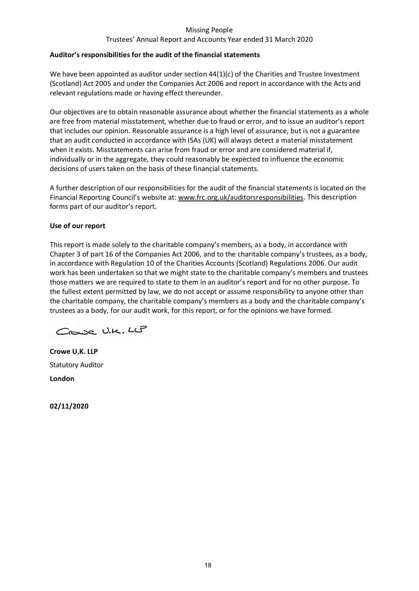#### Trustees' Annual Report and Accounts Year ended 31 March 2020

#### **Auditor's responsibilities for the audit of the financial statements**

We have been appointed as auditor under section 44(1)(c) of the Charities and Trustee Investment (Scotland) Act 2005 and under the Companies Act 2006 and report in accordance with the Acts and relevant regulations made or having effect thereunder.

Our objectives are to obtain reasonable assurance about whether the financial statements as a whole are free from material misstatement, whether due to fraud or error, and to issue an auditor's report that includes our opinion. Reasonable assurance is a high level of assurance, but is not a guarantee that an audit conducted in accordance with ISAs (UK) will always detect a material misstatement when it exists. Misstatements can arise from fraud or error and are considered material if, individually or in the aggregate, they could reasonably be expected to influence the economic decisions of users taken on the basis of these financial statements.

A further description of our responsibilities for the audit of the financial statements is located on the Financial Reporting Council's website at[: www.frc.org.uk/auditorsresponsibilities.](https://www.frc.org.uk/auditorsresponsibilities) This description forms part of our auditor's report.

#### **Use of our report**

This report is made solely to the charitable company's members, as a body, in accordance with Chapter 3 of part 16 of the Companies Act 2006, and to the charitable company's trustees, as a body, in accordance with Regulation 10 of the Charities Accounts (Scotland) Regulations 2006. Our audit work has been undertaken so that we might state to the charitable company's members and trustees those matters we are required to state to them in an auditor's report and for no other purpose. To the fullest extent permitted by law, we do not accept or assume responsibility to anyone other than the charitable company, the charitable company's members as a body and the charitable company's trustees as a body, for our audit work, for this report, or for the opinions we have formed.

Crowe U.K. LLP

**Crowe U.K. LLP**  Statutory Auditor **London** 

**02/11/2020**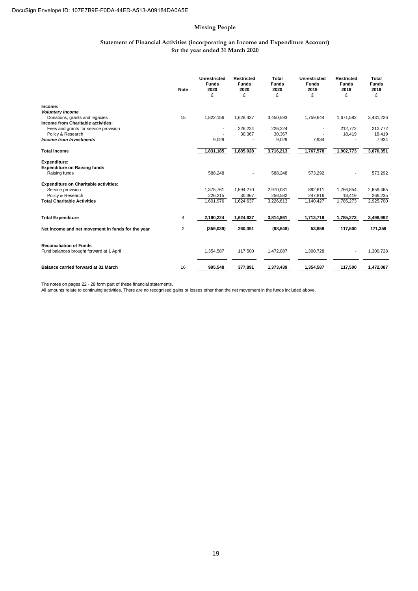#### **Statement of Financial Activities (incorporating an Income and Expenditure Account) for the year ended 31 March 2020**

|                                                           | <b>Note</b> | Unrestricted<br><b>Funds</b><br>2020<br>£ | <b>Restricted</b><br><b>Funds</b><br>2020<br>£ | Total<br><b>Funds</b><br>2020<br>£ | Unrestricted<br><b>Funds</b><br>2019<br>£ | <b>Restricted</b><br><b>Funds</b><br>2019<br>£ | Total<br><b>Funds</b><br>2019<br>£ |
|-----------------------------------------------------------|-------------|-------------------------------------------|------------------------------------------------|------------------------------------|-------------------------------------------|------------------------------------------------|------------------------------------|
| Income:                                                   |             |                                           |                                                |                                    |                                           |                                                |                                    |
| <b>Voluntary Income</b><br>Donations, grants and legacies | 15          | 1,822,156                                 | 1,628,437                                      | 3,450,593                          | 1,759,644                                 | 1,671,582                                      | 3,431,226                          |
| Income from Charitable activities:                        |             |                                           |                                                |                                    |                                           |                                                |                                    |
| Fees and grants for service provision                     |             |                                           | 226,224                                        | 226,224                            |                                           | 212.772                                        | 212,772                            |
| Policy & Research                                         |             |                                           | 30,367                                         | 30,367                             |                                           | 18,419                                         | 18,419                             |
| <b>Income from Investments</b>                            |             | 9,029                                     |                                                | 9,029                              | 7,934                                     |                                                | 7,934                              |
| <b>Total income</b>                                       |             | 1,831,185                                 | 1,885,028                                      | 3,716,213                          | 1,767,578                                 | 1,902,773                                      | 3,670,351                          |
| <b>Expenditure:</b>                                       |             |                                           |                                                |                                    |                                           |                                                |                                    |
| <b>Expenditure on Raising funds</b>                       |             |                                           |                                                |                                    |                                           |                                                |                                    |
| Raising funds                                             |             | 588,248                                   |                                                | 588,248                            | 573,292                                   |                                                | 573,292                            |
| <b>Expenditure on Charitable activities:</b>              |             |                                           |                                                |                                    |                                           |                                                |                                    |
| Service provision                                         |             | 1,375,761                                 | 1,594,270                                      | 2,970,031                          | 892,611                                   | 1,766,854                                      | 2,659,465                          |
| Policy & Research                                         |             | 226,215                                   | 30,367                                         | 256,582                            | 247,816                                   | 18,419                                         | 266,235                            |
| <b>Total Charitable Activities</b>                        |             | 1,601,976                                 | 1,624,637                                      | 3,226,613                          | 1,140,427                                 | 1,785,273                                      | 2,925,700                          |
|                                                           |             |                                           |                                                |                                    |                                           |                                                |                                    |
| <b>Total Expenditure</b>                                  | 4           | 2,190,224                                 | 1,624,637                                      | 3,814,861                          | 1,713,719                                 | 1,785,273                                      | 3,498,992                          |
| Net income and net movement in funds for the year         | 2           | (359,039)                                 | 260,391                                        | (98, 648)                          | 53,859                                    | 117,500                                        | 171,359                            |
| <b>Reconciliation of Funds</b>                            |             |                                           |                                                |                                    |                                           |                                                |                                    |
| Fund balances brought forward at 1 April                  |             | 1,354,587                                 | 117,500                                        | 1,472,087                          | 1,300,728                                 |                                                | 1,300,728                          |
|                                                           |             |                                           |                                                |                                    |                                           |                                                |                                    |
| Balance carried forward at 31 March                       | 16          | 995,548                                   | 377.891                                        | 1,373,439                          | 1,354,587                                 | 117,500                                        | 1,472,087                          |

The notes on pages 22 - 28 form part of these financial statements. All amounts relate to continuing activities. There are no recognised gains or losses other than the net movement in the funds included above.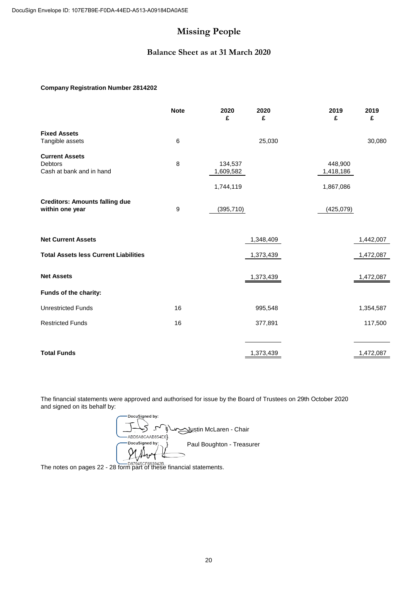#### **Balance Sheet as at 31 March 2020**

#### **Company Registration Number 2814202**

|                                                                     | <b>Note</b> | 2020<br>£                         | 2020<br>£ | 2019<br>£                         | 2019<br>£ |
|---------------------------------------------------------------------|-------------|-----------------------------------|-----------|-----------------------------------|-----------|
| <b>Fixed Assets</b><br>Tangible assets                              | 6           |                                   | 25,030    |                                   | 30,080    |
| <b>Current Assets</b><br><b>Debtors</b><br>Cash at bank and in hand | 8           | 134,537<br>1,609,582<br>1,744,119 |           | 448,900<br>1,418,186<br>1,867,086 |           |
| <b>Creditors: Amounts falling due</b><br>within one year            | 9           | (395, 710)                        |           | (425,079)                         |           |
| <b>Net Current Assets</b>                                           |             |                                   | 1,348,409 |                                   | 1,442,007 |
| <b>Total Assets less Current Liabilities</b>                        |             |                                   | 1,373,439 |                                   | 1,472,087 |
| <b>Net Assets</b>                                                   |             |                                   | 1,373,439 |                                   | 1,472,087 |
| Funds of the charity:                                               |             |                                   |           |                                   |           |
| <b>Unrestricted Funds</b>                                           | 16          |                                   | 995,548   |                                   | 1,354,587 |
| <b>Restricted Funds</b>                                             | 16          |                                   | 377,891   |                                   | 117,500   |
|                                                                     |             |                                   |           |                                   |           |
| <b>Total Funds</b>                                                  |             |                                   | 1,373,439 |                                   | 1,472,087 |

The financial statements were approved and authorised for issue by the Board of Trustees on 29th October 2020and signed on its behalf by:

DocuSigned by: } Justin McLaren - Chair ABD5A8CAAB854E6}. DocuSigned by: Paul Boughton - Treasurer  $\check{\mathbb{A}}$  $\gamma$ 

The notes on pages 22 - 28 form part of these financial statements.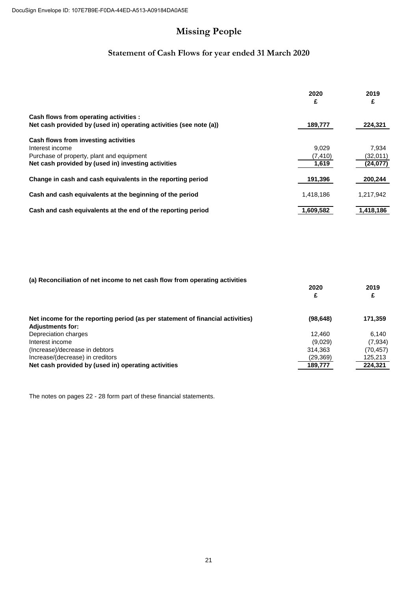# **Statement of Cash Flows for year ended 31 March 2020**

|                                                                                                              | 2020<br>£ | 2019<br>£ |
|--------------------------------------------------------------------------------------------------------------|-----------|-----------|
| Cash flows from operating activities :<br>Net cash provided by (used in) operating activities (see note (a)) | 189,777   | 224,321   |
| Cash flows from investing activities                                                                         |           |           |
| Interest income                                                                                              | 9.029     | 7.934     |
| Purchase of property, plant and equipment                                                                    | (7, 410)  | (32,011)  |
| Net cash provided by (used in) investing activities                                                          | 1,619     | (24, 077) |
| Change in cash and cash equivalents in the reporting period                                                  | 191,396   | 200,244   |
| Cash and cash equivalents at the beginning of the period                                                     | 1,418,186 | 1,217,942 |
| Cash and cash equivalents at the end of the reporting period                                                 | 1.609.582 | 1.418.186 |

| (a) Reconciliation of net income to net cash flow from operating activities |
|-----------------------------------------------------------------------------|
|-----------------------------------------------------------------------------|

|                                                                                                           | 2020<br>£ | 2019      |
|-----------------------------------------------------------------------------------------------------------|-----------|-----------|
| Net income for the reporting period (as per statement of financial activities)<br><b>Adjustments for:</b> | (98, 648) | 171,359   |
| Depreciation charges                                                                                      | 12.460    | 6.140     |
| Interest income                                                                                           | (9,029)   | (7,934)   |
| (Increase)/decrease in debtors                                                                            | 314.363   | (70, 457) |
| Increase/(decrease) in creditors                                                                          | (29, 369) | 125,213   |
| Net cash provided by (used in) operating activities                                                       | 189,777   | 224,321   |

The notes on pages 22 - 28 form part of these financial statements.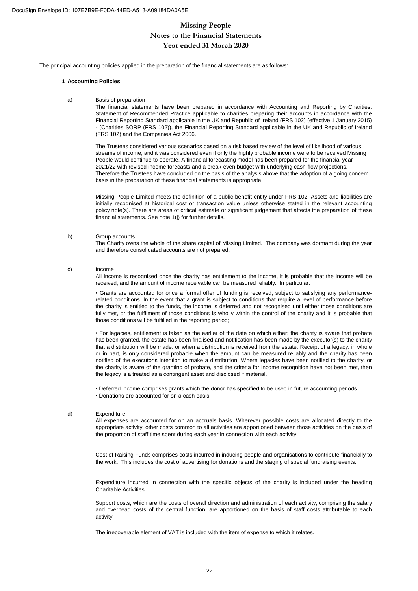#### **Year ended 31 March 2020 Missing People Notes to the Financial Statements**

The principal accounting policies applied in the preparation of the financial statements are as follows:

#### **1 Accounting Policies**

a) Basis of preparation

The financial statements have been prepared in accordance with Accounting and Reporting by Charities: Statement of Recommended Practice applicable to charities preparing their accounts in accordance with the Financial Reporting Standard applicable in the UK and Republic of Ireland (FRS 102) (effective 1 January 2015) - (Charities SORP (FRS 102)), the Financial Reporting Standard applicable in the UK and Republic of Ireland (FRS 102) and the Companies Act 2006.

The Trustees considered various scenarios based on a risk based review of the level of likelihood of various streams of income, and it was considered even if only the highly probable income were to be received Missing People would continue to operate. A financial forecasting model has been prepared for the financial year 2021/22 with revised income forecasts and a break-even budget with underlying cash-flow projections. Therefore the Trustees have concluded on the basis of the analysis above that the adoption of a going concern basis in the preparation of these financial statements is appropriate.

Missing People Limited meets the definition of a public benefit entity under FRS 102. Assets and liabilities are initially recognised at historical cost or transaction value unless otherwise stated in the relevant accounting policy note(s). There are areas of critical estimate or significant judgement that affects the preparation of these financial statements. See note 1(j) for further details.

#### b) Group accounts

The Charity owns the whole of the share capital of Missing Limited. The company was dormant during the year and therefore consolidated accounts are not prepared.

c) Income

All income is recognised once the charity has entitlement to the income, it is probable that the income will be received, and the amount of income receivable can be measured reliably. In particular:

• Grants are accounted for once a formal offer of funding is received, subject to satisfying any performancerelated conditions. In the event that a grant is subject to conditions that require a level of performance before the charity is entitled to the funds, the income is deferred and not recognised until either those conditions are fully met, or the fulfilment of those conditions is wholly within the control of the charity and it is probable that those conditions will be fulfilled in the reporting period;

• For legacies, entitlement is taken as the earlier of the date on which either: the charity is aware that probate has been granted, the estate has been finalised and notification has been made by the executor(s) to the charity that a distribution will be made, or when a distribution is received from the estate. Receipt of a legacy, in whole or in part, is only considered probable when the amount can be measured reliably and the charity has been notified of the executor's intention to make a distribution. Where legacies have been notified to the charity, or the charity is aware of the granting of probate, and the criteria for income recognition have not been met, then the legacy is a treated as a contingent asset and disclosed if material.

• Donations are accounted for on a cash basis. • Deferred income comprises grants which the donor has specified to be used in future accounting periods.

#### d) Expenditure

All expenses are accounted for on an accruals basis. Wherever possible costs are allocated directly to the appropriate activity; other costs common to all activities are apportioned between those activities on the basis of the proportion of staff time spent during each year in connection with each activity.

Cost of Raising Funds comprises costs incurred in inducing people and organisations to contribute financially to the work. This includes the cost of advertising for donations and the staging of special fundraising events.

Expenditure incurred in connection with the specific objects of the charity is included under the heading Charitable Activities.

Support costs, which are the costs of overall direction and administration of each activity, comprising the salary and overhead costs of the central function, are apportioned on the basis of staff costs attributable to each activity.

The irrecoverable element of VAT is included with the item of expense to which it relates.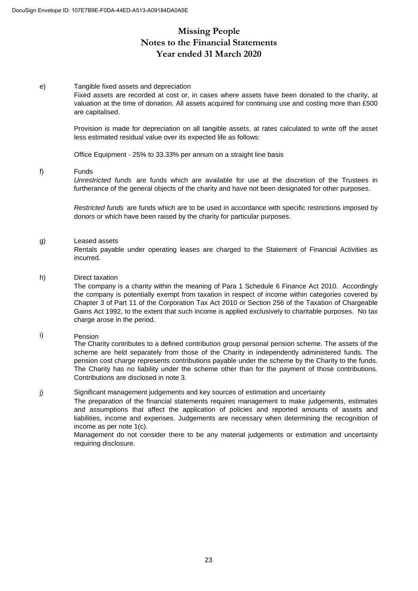# **Missing People Notes to the Financial Statements Year ended 31 March 2020**

#### e) Tangible fixed assets and depreciation

Fixed assets are recorded at cost or, in cases where assets have been donated to the charity, at valuation at the time of donation. All assets acquired for continuing use and costing more than £500 are capitalised.

Provision is made for depreciation on all tangible assets, at rates calculated to write off the asset less estimated residual value over its expected life as follows:

Office Equipment - 25% to 33.33% per annum on a straight line basis

#### f) Funds

*Unrestricted funds* are funds which are available for use at the discretion of the Trustees in furtherance of the general objects of the charity and have not been designated for other purposes.

*Restricted funds* are funds which are to be used in accordance with specific restrictions imposed by donors or which have been raised by the charity for particular purposes.

#### g) Leased assets

Rentals payable under operating leases are charged to the Statement of Financial Activities as incurred.

#### h) Direct taxation

The company is a charity within the meaning of Para 1 Schedule 6 Finance Act 2010. Accordingly the company is potentially exempt from taxation in respect of income within categories covered by Chapter 3 of Part 11 of the Corporation Tax Act 2010 or Section 256 of the Taxation of Chargeable Gains Act 1992, to the extent that such income is applied exclusively to charitable purposes. No tax charge arose in the period.

#### i) Pension

The Charity contributes to a defined contribution group personal pension scheme. The assets of the scheme are held separately from those of the Charity in independently administered funds. The pension cost charge represents contributions payable under the scheme by the Charity to the funds. The Charity has no liability under the scheme other than for the payment of those contributions. Contributions are disclosed in note 3.

#### j) Significant management judgements and key sources of estimation and uncertainty

The preparation of the financial statements requires management to make judgements, estimates and assumptions that affect the application of policies and reported amounts of assets and liabilities, income and expenses. Judgements are necessary when determining the recognition of income as per note 1(c).

Management do not consider there to be any material judgements or estimation and uncertainty requiring disclosure.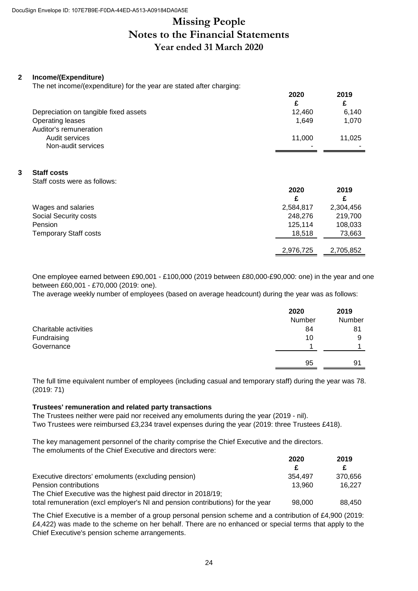# **Missing People Notes to the Financial Statements Year ended 31 March 2020**

#### **2 Income/(Expenditure)**

The net income/(expenditure) for the year are stated after charging:

|                                       | 2020   | 2019   |
|---------------------------------------|--------|--------|
|                                       |        | £      |
| Depreciation on tangible fixed assets | 12.460 | 6,140  |
| Operating leases                      | 1.649  | 1,070  |
| Auditor's remuneration                |        |        |
| Audit services                        | 11.000 | 11.025 |
| Non-audit services                    |        |        |

#### **3 Staff costs**

Staff costs were as follows:

|                              | 2020      | 2019      |
|------------------------------|-----------|-----------|
|                              |           | £         |
| Wages and salaries           | 2,584,817 | 2,304,456 |
| Social Security costs        | 248,276   | 219,700   |
| Pension                      | 125,114   | 108,033   |
| <b>Temporary Staff costs</b> | 18.518    | 73,663    |
|                              | 2,976,725 | 2,705,852 |

One employee earned between £90,001 - £100,000 (2019 between £80,000-£90,000: one) in the year and one between £60,001 - £70,000 (2019: one).

The average weekly number of employees (based on average headcount) during the year was as follows:

|                       | 2020<br>Number | 2019<br>Number |
|-----------------------|----------------|----------------|
| Charitable activities | 84             | 81             |
| Fundraising           | 10             | 9              |
| Governance            |                |                |
|                       | 95             | 91             |

The full time equivalent number of employees (including casual and temporary staff) during the year was 78. (2019: 71)

#### **Trustees' remuneration and related party transactions**

The Trustees neither were paid nor received any emoluments during the year (2019 - nil). Two Trustees were reimbursed £3,234 travel expenses during the year (2019: three Trustees £418).

The key management personnel of the charity comprise the Chief Executive and the directors. The emoluments of the Chief Executive and directors were:

|                                                                                | 2020    | 2019    |  |
|--------------------------------------------------------------------------------|---------|---------|--|
|                                                                                | £.      |         |  |
| Executive directors' emoluments (excluding pension)                            | 354.497 | 370.656 |  |
| Pension contributions                                                          | 13.960  | 16.227  |  |
| The Chief Executive was the highest paid director in 2018/19;                  |         |         |  |
| total remuneration (excl employer's NI and pension contributions) for the year | 98.000  | 88.450  |  |

The Chief Executive is a member of a group personal pension scheme and a contribution of £4,900 (2019: £4,422) was made to the scheme on her behalf. There are no enhanced or special terms that apply to the Chief Executive's pension scheme arrangements.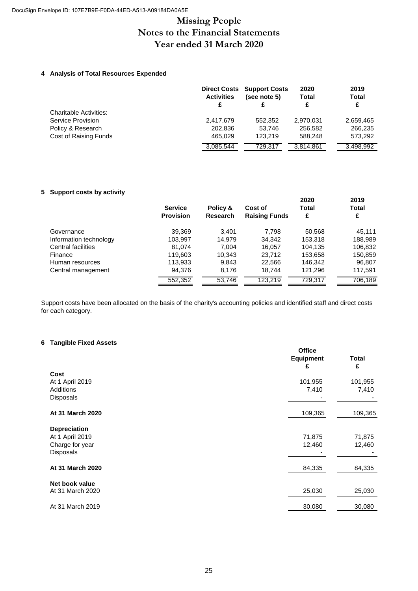# **Missing People Notes to the Financial Statements Year ended 31 March 2020**

#### **4 Analysis of Total Resources Expended**

|                        | <b>Direct Costs</b><br><b>Activities</b><br>£ | <b>Support Costs</b><br>(see note 5)<br>£ | 2020<br><b>Total</b><br>£ | 2019<br><b>Total</b><br>£ |
|------------------------|-----------------------------------------------|-------------------------------------------|---------------------------|---------------------------|
| Charitable Activities: |                                               |                                           |                           |                           |
| Service Provision      | 2,417,679                                     | 552.352                                   | 2,970,031                 | 2,659,465                 |
| Policy & Research      | 202.836                                       | 53.746                                    | 256.582                   | 266,235                   |
| Cost of Raising Funds  | 465.029                                       | 123.219                                   | 588.248                   | 573,292                   |
|                        | 3,085,544                                     | 729.317                                   | 3,814,861                 | 3,498,992                 |

#### **5 Support costs by activity**

|                        | <b>Service</b><br><b>Provision</b> | Policy &<br><b>Research</b> | Cost of<br><b>Raising Funds</b> | 2020<br><b>Total</b><br>£ | 2019<br><b>Total</b><br>£ |
|------------------------|------------------------------------|-----------------------------|---------------------------------|---------------------------|---------------------------|
| Governance             | 39,369                             | 3.401                       | 7.798                           | 50,568                    | 45,111                    |
| Information technology | 103,997                            | 14.979                      | 34,342                          | 153,318                   | 188,989                   |
| Central facilities     | 81,074                             | 7.004                       | 16,057                          | 104,135                   | 106,832                   |
| Finance                | 119.603                            | 10.343                      | 23.712                          | 153,658                   | 150,859                   |
| Human resources        | 113,933                            | 9,843                       | 22,566                          | 146,342                   | 96,807                    |
| Central management     | 94.376                             | 8.176                       | 18.744                          | 121,296                   | 117,591                   |
|                        | 552,352                            | 53,746                      | 123.219                         | 729,317                   | 706,189                   |

Support costs have been allocated on the basis of the charity's accounting policies and identified staff and direct costs for each category.

#### **6 Tangible Fixed Assets**

|                     | <b>Office</b><br><b>Equipment</b><br>£ | <b>Total</b><br>£ |
|---------------------|----------------------------------------|-------------------|
| Cost                |                                        |                   |
| At 1 April 2019     | 101,955                                | 101,955           |
| Additions           | 7,410                                  | 7,410             |
| Disposals           |                                        |                   |
| At 31 March 2020    | 109,365                                | 109,365           |
| <b>Depreciation</b> |                                        |                   |
| At 1 April 2019     | 71,875                                 | 71,875            |
| Charge for year     | 12,460                                 | 12,460            |
| <b>Disposals</b>    |                                        |                   |
| At 31 March 2020    | 84,335                                 | 84,335            |
| Net book value      |                                        |                   |
| At 31 March 2020    | 25,030                                 | 25,030            |
| At 31 March 2019    | 30,080                                 | 30,080            |
|                     |                                        |                   |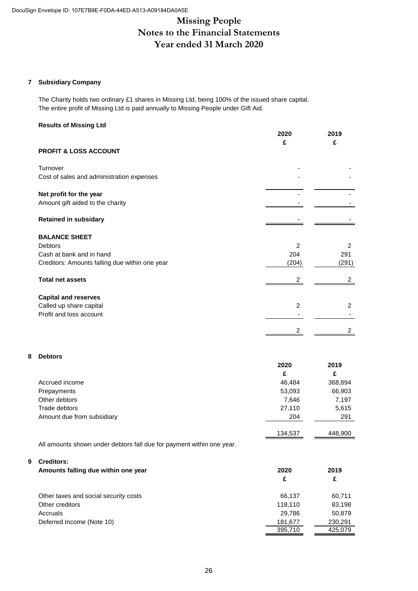# **Missing People Notes to the Financial Statements Year ended 31 March 2020**

#### **7 Subsidiary Company**

The Charity holds two ordinary £1 shares in Missing Ltd, being 100% of the issued share capital. The entire profit of Missing Ltd is paid annually to Missing People under Gift Aid.

#### **Results of Missing Ltd**

|                                                | 2020           | 2019           |
|------------------------------------------------|----------------|----------------|
| <b>PROFIT &amp; LOSS ACCOUNT</b>               | £              | £              |
| Turnover                                       |                |                |
| Cost of sales and administration expenses      |                |                |
| Net profit for the year                        |                |                |
| Amount gift aided to the charity               |                |                |
| <b>Retained in subsidary</b>                   |                |                |
| <b>BALANCE SHEET</b>                           |                |                |
| <b>Debtors</b>                                 | $\mathcal{P}$  | 2              |
| Cash at bank and in hand                       | 204            | 291            |
| Creditors: Amounts falling due within one year | (204)          | (291)          |
| <b>Total net assets</b>                        | 2              | 2              |
| <b>Capital and reserves</b>                    |                |                |
| Called up share capital                        | $\overline{2}$ | $\overline{2}$ |
| Profit and loss account                        |                |                |
|                                                |                | 2              |
|                                                |                |                |

#### **8 Debtors**

|                            | 2020    | 2019    |
|----------------------------|---------|---------|
|                            | £       | £       |
| Accrued income             | 46,484  | 368,894 |
| Prepayments                | 53,093  | 66,903  |
| Other debtors              | 7,646   | 7,197   |
| Trade debtors              | 27,110  | 5,615   |
| Amount due from subsidiary | 204     | 291     |
|                            | 134,537 | 448,900 |

All amounts shown under debtors fall due for payment within one year.

#### **9 Creditors:**

| Amounts falling due within one year   | 2020    | 2019    |  |
|---------------------------------------|---------|---------|--|
|                                       | £       | £       |  |
| Other taxes and social security costs | 66.137  | 60,711  |  |
| Other creditors                       | 118.110 | 83,198  |  |
| Accruals                              | 29,786  | 50,879  |  |
| Deferred Income (Note 10)             | 181,677 | 230,291 |  |
|                                       | 395.710 | 425.079 |  |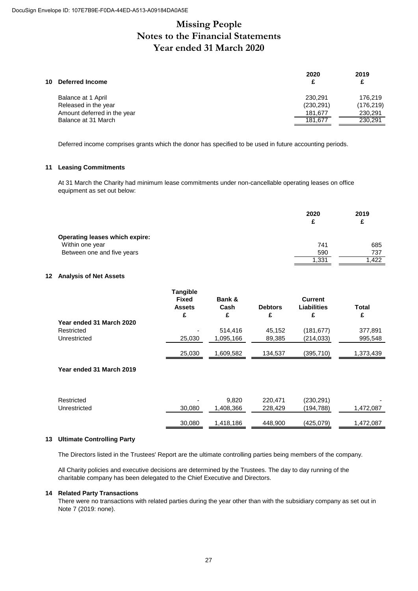# **Missing People Notes to the Financial Statements Year ended 31 March 2020**

| 2020       | 2019<br>£  |
|------------|------------|
| 230.291    | 176.219    |
| (230, 291) | (176, 219) |
| 181,677    | 230,291    |
| 181,677    | 230,291    |
|            |            |

Deferred income comprises grants which the donor has specified to be used in future accounting periods.

#### **11 Leasing Commitments**

At 31 March the Charity had minimum lease commitments under non-cancellable operating leases on office equipment as set out below:

|                                       | 2020<br>£ | 2019<br>£ |
|---------------------------------------|-----------|-----------|
| <b>Operating leases which expire:</b> |           |           |
| Within one year                       | 741       | 685       |
| Between one and five years            | 590       | 737       |
|                                       | 1,331     | .422      |

#### **12 Analysis of Net Assets**

|                          | <b>Tangible</b><br><b>Fixed</b><br><b>Assets</b><br>£ | Bank &<br>Cash<br>£ | <b>Debtors</b><br>£ | <b>Current</b><br>Liabilities<br>£ | Total<br>£ |
|--------------------------|-------------------------------------------------------|---------------------|---------------------|------------------------------------|------------|
| Year ended 31 March 2020 |                                                       |                     |                     |                                    |            |
| Restricted               | ۰                                                     | 514,416             | 45,152              | (181, 677)                         | 377,891    |
| Unrestricted             | 25,030                                                | 1,095,166           | 89,385              | (214, 033)                         | 995,548    |
|                          | 25,030                                                | 1,609,582           | 134,537             | (395, 710)                         | 1,373,439  |
|                          |                                                       |                     |                     |                                    |            |

#### **Year ended 31 March 2019**

| Restricted   | -      | 9.820     | 220,471 | (230,291) | $\overline{\phantom{a}}$ |
|--------------|--------|-----------|---------|-----------|--------------------------|
| Unrestricted | 30,080 | ,408,366  | 228,429 | (194,788) | ,472,087                 |
|              | 30,080 | 1.418.186 | 448,900 | (425,079) | 472،087,                 |

#### **13 Ultimate Controlling Party**

The Directors listed in the Trustees' Report are the ultimate controlling parties being members of the company.

All Charity policies and executive decisions are determined by the Trustees. The day to day running of the charitable company has been delegated to the Chief Executive and Directors.

#### **14 Related Party Transactions**

There were no transactions with related parties during the year other than with the subsidiary company as set out in Note 7 (2019: none).